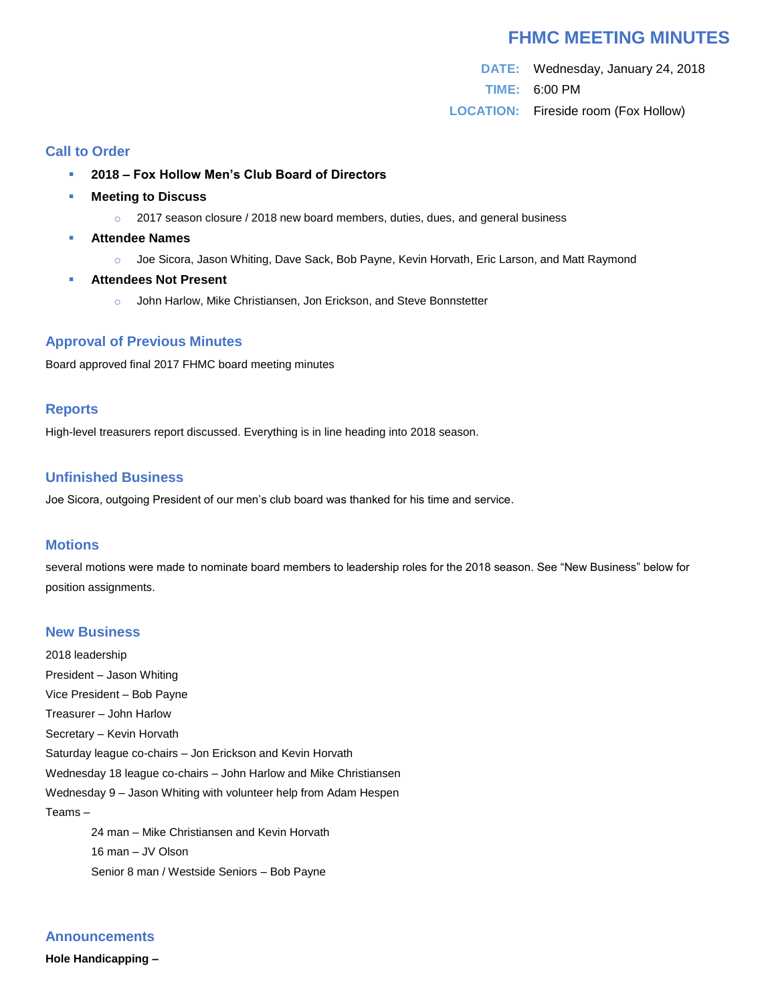# **FHMC MEETING MINUTES**

**DATE:** Wednesday, January 24, 2018 **TIME:** 6:00 PM **LOCATION:** Fireside room (Fox Hollow)

## **Call to Order**

- **2018 – Fox Hollow Men's Club Board of Directors**
- **Meeting to Discuss** 
	- $\circ$  2017 season closure / 2018 new board members, duties, dues, and general business
- **Attendee Names**
	- o Joe Sicora, Jason Whiting, Dave Sack, Bob Payne, Kevin Horvath, Eric Larson, and Matt Raymond
- **Attendees Not Present**
	- o John Harlow, Mike Christiansen, Jon Erickson, and Steve Bonnstetter

### **Approval of Previous Minutes**

Board approved final 2017 FHMC board meeting minutes

#### **Reports**

High-level treasurers report discussed. Everything is in line heading into 2018 season.

### **Unfinished Business**

Joe Sicora, outgoing President of our men's club board was thanked for his time and service.

#### **Motions**

several motions were made to nominate board members to leadership roles for the 2018 season. See "New Business" below for position assignments.

#### **New Business**

2018 leadership President – Jason Whiting Vice President – Bob Payne Treasurer – John Harlow Secretary – Kevin Horvath Saturday league co-chairs – Jon Erickson and Kevin Horvath Wednesday 18 league co-chairs – John Harlow and Mike Christiansen Wednesday 9 – Jason Whiting with volunteer help from Adam Hespen Teams – 24 man – Mike Christiansen and Kevin Horvath

16 man – JV Olson Senior 8 man / Westside Seniors – Bob Payne

# **Announcements**

**Hole Handicapping –**